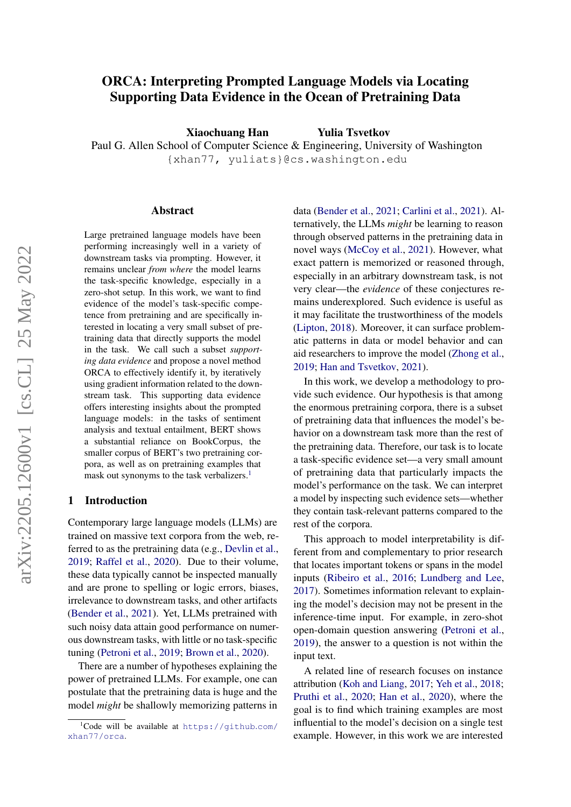# ORCA: Interpreting Prompted Language Models via Locating Supporting Data Evidence in the Ocean of Pretraining Data

Xiaochuang Han Yulia Tsvetkov

Paul G. Allen School of Computer Science & Engineering, University of Washington {xhan77, yuliats}@cs.washington.edu

#### Abstract

Large pretrained language models have been performing increasingly well in a variety of downstream tasks via prompting. However, it remains unclear *from where* the model learns the task-specific knowledge, especially in a zero-shot setup. In this work, we want to find evidence of the model's task-specific competence from pretraining and are specifically interested in locating a very small subset of pretraining data that directly supports the model in the task. We call such a subset *supporting data evidence* and propose a novel method ORCA to effectively identify it, by iteratively using gradient information related to the downstream task. This supporting data evidence offers interesting insights about the prompted language models: in the tasks of sentiment analysis and textual entailment, BERT shows a substantial reliance on BookCorpus, the smaller corpus of BERT's two pretraining corpora, as well as on pretraining examples that mask out synonyms to the task verbalizers.<sup>[1](#page-0-0)</sup>

#### 1 Introduction

Contemporary large language models (LLMs) are trained on massive text corpora from the web, referred to as the pretraining data (e.g., [Devlin et al.,](#page-9-0) [2019;](#page-9-0) [Raffel et al.,](#page-10-0) [2020\)](#page-10-0). Due to their volume, these data typically cannot be inspected manually and are prone to spelling or logic errors, biases, irrelevance to downstream tasks, and other artifacts [\(Bender et al.,](#page-9-1) [2021\)](#page-9-1). Yet, LLMs pretrained with such noisy data attain good performance on numerous downstream tasks, with little or no task-specific tuning [\(Petroni et al.,](#page-10-1) [2019;](#page-10-1) [Brown et al.,](#page-9-2) [2020\)](#page-9-2).

There are a number of hypotheses explaining the power of pretrained LLMs. For example, one can postulate that the pretraining data is huge and the model *might* be shallowly memorizing patterns in

data [\(Bender et al.,](#page-9-1) [2021;](#page-9-1) [Carlini et al.,](#page-9-3) [2021\)](#page-9-3). Alternatively, the LLMs *might* be learning to reason through observed patterns in the pretraining data in novel ways [\(McCoy et al.,](#page-10-2) [2021\)](#page-10-2). However, what exact pattern is memorized or reasoned through, especially in an arbitrary downstream task, is not very clear—the *evidence* of these conjectures remains underexplored. Such evidence is useful as it may facilitate the trustworthiness of the models [\(Lipton,](#page-10-3) [2018\)](#page-10-3). Moreover, it can surface problematic patterns in data or model behavior and can aid researchers to improve the model [\(Zhong et al.,](#page-11-0) [2019;](#page-11-0) [Han and Tsvetkov,](#page-10-4) [2021\)](#page-10-4).

In this work, we develop a methodology to provide such evidence. Our hypothesis is that among the enormous pretraining corpora, there is a subset of pretraining data that influences the model's behavior on a downstream task more than the rest of the pretraining data. Therefore, our task is to locate a task-specific evidence set—a very small amount of pretraining data that particularly impacts the model's performance on the task. We can interpret a model by inspecting such evidence sets—whether they contain task-relevant patterns compared to the rest of the corpora.

This approach to model interpretability is different from and complementary to prior research that locates important tokens or spans in the model inputs [\(Ribeiro et al.,](#page-10-5) [2016;](#page-10-5) [Lundberg and Lee,](#page-10-6) [2017\)](#page-10-6). Sometimes information relevant to explaining the model's decision may not be present in the inference-time input. For example, in zero-shot open-domain question answering [\(Petroni et al.,](#page-10-1) [2019\)](#page-10-1), the answer to a question is not within the input text.

A related line of research focuses on instance attribution [\(Koh and Liang,](#page-10-7) [2017;](#page-10-7) [Yeh et al.,](#page-11-1) [2018;](#page-11-1) [Pruthi et al.,](#page-10-8) [2020;](#page-10-8) [Han et al.,](#page-10-9) [2020\)](#page-10-9), where the goal is to find which training examples are most influential to the model's decision on a single test example. However, in this work we are interested

<span id="page-0-0"></span> $1$ Code will be available at [https://github](https://github.com/xhan77/orca).com/ [xhan77/orca](https://github.com/xhan77/orca).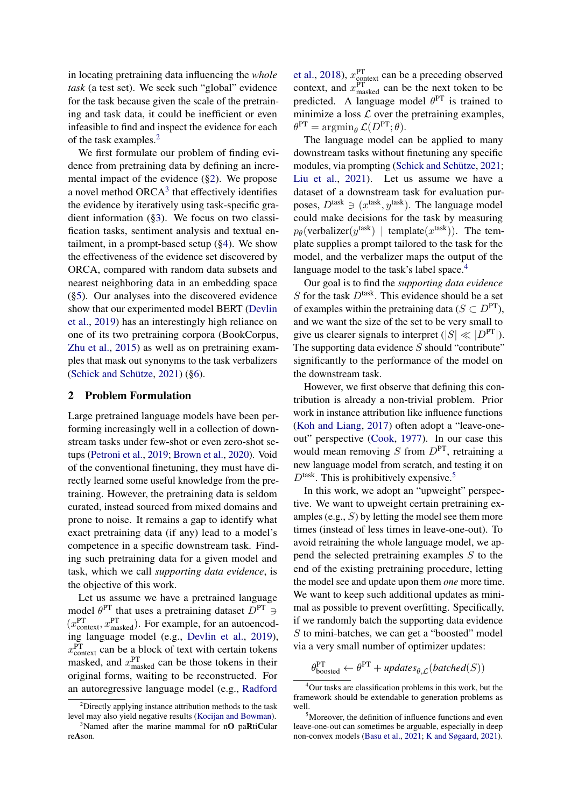in locating pretraining data influencing the *whole task* (a test set). We seek such "global" evidence for the task because given the scale of the pretraining and task data, it could be inefficient or even infeasible to find and inspect the evidence for each of the task examples.<sup>[2](#page-1-0)</sup>

We first formulate our problem of finding evidence from pretraining data by defining an incremental impact of the evidence ([§2\)](#page-1-1). We propose a novel method ORCA $3$  that effectively identifies the evidence by iteratively using task-specific gradient information ([§3\)](#page-2-0). We focus on two classification tasks, sentiment analysis and textual entailment, in a prompt-based setup ([§4\)](#page-3-0). We show the effectiveness of the evidence set discovered by ORCA, compared with random data subsets and nearest neighboring data in an embedding space ([§5\)](#page-5-0). Our analyses into the discovered evidence show that our experimented model BERT [\(Devlin](#page-9-0) [et al.,](#page-9-0) [2019\)](#page-9-0) has an interestingly high reliance on one of its two pretraining corpora (BookCorpus, [Zhu et al.,](#page-11-2) [2015\)](#page-11-2) as well as on pretraining examples that mask out synonyms to the task verbalizers [\(Schick and Schütze,](#page-10-10) [2021\)](#page-10-10) ([§6\)](#page-5-1).

## <span id="page-1-1"></span>2 Problem Formulation

Large pretrained language models have been performing increasingly well in a collection of downstream tasks under few-shot or even zero-shot setups [\(Petroni et al.,](#page-10-1) [2019;](#page-10-1) [Brown et al.,](#page-9-2) [2020\)](#page-9-2). Void of the conventional finetuning, they must have directly learned some useful knowledge from the pretraining. However, the pretraining data is seldom curated, instead sourced from mixed domains and prone to noise. It remains a gap to identify what exact pretraining data (if any) lead to a model's competence in a specific downstream task. Finding such pretraining data for a given model and task, which we call *supporting data evidence*, is the objective of this work.

Let us assume we have a pretrained language model  $\theta^{PT}$  that uses a pretraining dataset  $D^{PT} \ni$  $(x_{\text{context}}^{\text{PT}}, x_{\text{masked}}^{\text{PT}})$ . For example, for an autoencoding language model (e.g., [Devlin et al.,](#page-9-0) [2019\)](#page-9-0),  $x_{\text{context}}^{\text{PT}}$  can be a block of text with certain tokens masked, and  $x_{\text{masked}}^{\text{PT}}$  can be those tokens in their original forms, waiting to be reconstructed. For an autoregressive language model (e.g., [Radford](#page-10-11)

[et al.,](#page-10-11) [2018\)](#page-10-11),  $x_{\text{context}}^{\text{PT}}$  can be a preceding observed context, and  $x_{\text{masked}}^{\text{PT}}$  can be the next token to be predicted. A language model  $\theta^{PT}$  is trained to minimize a loss  $\mathcal L$  over the pretraining examples,  $\theta^{\text{PT}} = \operatorname{argmin}_{\theta} \mathcal{L}(D^{\text{PT}}; \theta).$ 

The language model can be applied to many downstream tasks without finetuning any specific modules, via prompting [\(Schick and Schütze,](#page-10-10) [2021;](#page-10-10) [Liu et al.,](#page-10-13) [2021\)](#page-10-13). Let us assume we have a dataset of a downstream task for evaluation purposes,  $D^{\text{task}} \ni (x^{\text{task}}, y^{\text{task}})$ . The language model could make decisions for the task by measuring  $p_{\theta}$ (verbalizer( $y^{\text{task}}$ ) | template( $x^{\text{task}}$ )). The template supplies a prompt tailored to the task for the model, and the verbalizer maps the output of the language model to the task's label space.<sup>[4](#page-1-3)</sup>

Our goal is to find the *supporting data evidence* S for the task  $D<sup>task</sup>$ . This evidence should be a set of examples within the pretraining data ( $S \subset D^{PT}$ ), and we want the size of the set to be very small to give us clearer signals to interpret  $(|S| \ll |D^{PT}|)$ . The supporting data evidence  $S$  should "contribute" significantly to the performance of the model on the downstream task.

However, we first observe that defining this contribution is already a non-trivial problem. Prior work in instance attribution like influence functions [\(Koh and Liang,](#page-10-7) [2017\)](#page-10-7) often adopt a "leave-oneout" perspective [\(Cook,](#page-9-4) [1977\)](#page-9-4). In our case this would mean removing S from  $D<sup>PT</sup>$ , retraining a new language model from scratch, and testing it on  $D<sup>task</sup>$ . This is prohibitively expensive.<sup>[5](#page-1-4)</sup>

In this work, we adopt an "upweight" perspective. We want to upweight certain pretraining examples (e.g., S) by letting the model see them more times (instead of less times in leave-one-out). To avoid retraining the whole language model, we append the selected pretraining examples S to the end of the existing pretraining procedure, letting the model see and update upon them *one* more time. We want to keep such additional updates as minimal as possible to prevent overfitting. Specifically, if we randomly batch the supporting data evidence S to mini-batches, we can get a "boosted" model via a very small number of optimizer updates:

$$
\theta_{\text{boosted}}^{\text{PT}} \leftarrow \theta^{\text{PT}} + updates_{\theta, \mathcal{L}}(batched(S))
$$

<span id="page-1-0"></span> $2$ [Directly applying instance attribution methods to the task](#page-10-11) [level may also yield negative results \(Kocijan and Bowman\).](#page-10-11)  $3$ [Named after the marine mammal for n](#page-10-11)**O** paRtiCular

<span id="page-1-2"></span>reA[son.](#page-10-11)

<span id="page-1-3"></span><sup>4</sup>Our tasks are classification problems in this work, but the framework should be extendable to generation problems as well.

<span id="page-1-4"></span><sup>5</sup>Moreover, the definition of influence functions and even leave-one-out can sometimes be arguable, especially in deep non-convex models [\(Basu et al.,](#page-9-5) [2021;](#page-9-5) [K and Søgaard,](#page-10-14) [2021\)](#page-10-14).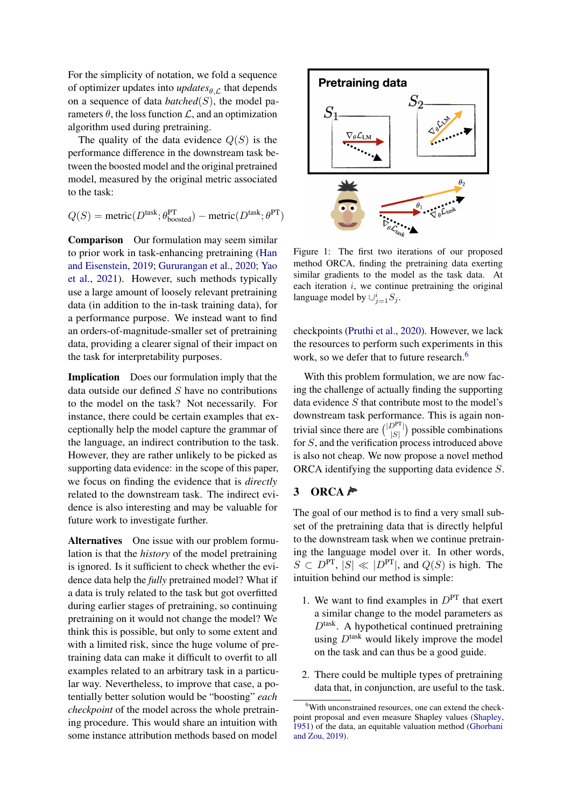For the simplicity of notation, we fold a sequence of optimizer updates into  $\text{update}_{\theta, \mathcal{L}}$  that depends on a sequence of data *batched* $(S)$ , the model parameters  $\theta$ , the loss function  $\mathcal{L}$ , and an optimization algorithm used during pretraining.

The quality of the data evidence  $Q(S)$  is the performance difference in the downstream task between the boosted model and the original pretrained model, measured by the original metric associated to the task:

 $Q(S) = \text{metric}(D^{\text{task}}; \theta^{\text{PT}}_{\text{boosted}}) - \text{metric}(D^{\text{task}}; \theta^{\text{PT}})$ 

Comparison Our formulation may seem similar to prior work in task-enhancing pretraining [\(Han](#page-10-15) [and Eisenstein,](#page-10-15) [2019;](#page-10-15) [Gururangan et al.,](#page-10-16) [2020;](#page-10-16) [Yao](#page-11-3) [et al.,](#page-11-3) [2021\)](#page-11-3). However, such methods typically use a large amount of loosely relevant pretraining data (in addition to the in-task training data), for a performance purpose. We instead want to find an orders-of-magnitude-smaller set of pretraining data, providing a clearer signal of their impact on the task for interpretability purposes.

Implication Does our formulation imply that the data outside our defined  $S$  have no contributions to the model on the task? Not necessarily. For instance, there could be certain examples that exceptionally help the model capture the grammar of the language, an indirect contribution to the task. However, they are rather unlikely to be picked as supporting data evidence: in the scope of this paper, we focus on finding the evidence that is *directly* related to the downstream task. The indirect evidence is also interesting and may be valuable for future work to investigate further.

Alternatives One issue with our problem formulation is that the *history* of the model pretraining is ignored. Is it sufficient to check whether the evidence data help the *fully* pretrained model? What if a data is truly related to the task but got overfitted during earlier stages of pretraining, so continuing pretraining on it would not change the model? We think this is possible, but only to some extent and with a limited risk, since the huge volume of pretraining data can make it difficult to overfit to all examples related to an arbitrary task in a particular way. Nevertheless, to improve that case, a potentially better solution would be "boosting" *each checkpoint* of the model across the whole pretraining procedure. This would share an intuition with some instance attribution methods based on model

<span id="page-2-2"></span>

Figure 1: The first two iterations of our proposed method ORCA, finding the pretraining data exerting similar gradients to the model as the task data. At each iteration  $i$ , we continue pretraining the original language model by  $\cup_{j=1}^{i} S_j$ .

checkpoints [\(Pruthi et al.,](#page-10-8) [2020\)](#page-10-8). However, we lack the resources to perform such experiments in this work, so we defer that to future research.<sup>[6](#page-2-1)</sup>

With this problem formulation, we are now facing the challenge of actually finding the supporting data evidence  $S$  that contribute most to the model's downstream task performance. This is again nontrivial since there are  $\binom{|D^{\text{PT}}|}{|S|}$  possible combinations for S, and the verification process introduced above is also not cheap. We now propose a novel method ORCA identifying the supporting data evidence S.

## <span id="page-2-0"></span>3 ORCA $\blacktriangleright$

The goal of our method is to find a very small subset of the pretraining data that is directly helpful to the downstream task when we continue pretraining the language model over it. In other words,  $S \subset D^{\text{PT}}, |S| \ll |D^{\text{PT}}|$ , and  $Q(S)$  is high. The intuition behind our method is simple:

- 1. We want to find examples in  $D<sup>PT</sup>$  that exert a similar change to the model parameters as  $D<sup>task</sup>$ . A hypothetical continued pretraining using  $D<sup>task</sup>$  would likely improve the model on the task and can thus be a good guide.
- 2. There could be multiple types of pretraining data that, in conjunction, are useful to the task.

<span id="page-2-1"></span><sup>&</sup>lt;sup>6</sup>With unconstrained resources, one can extend the checkpoint proposal and even measure Shapley values [\(Shapley,](#page-10-17) [1951\)](#page-10-17) of the data, an equitable valuation method [\(Ghorbani](#page-10-18) [and Zou,](#page-10-18) [2019\)](#page-10-18).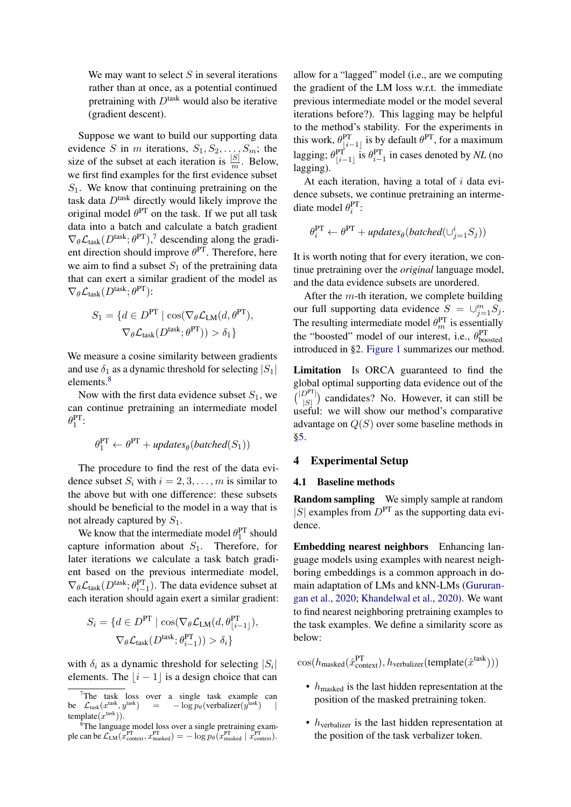We may want to select  $S$  in several iterations rather than at once, as a potential continued pretraining with  $D<sup>task</sup>$  would also be iterative (gradient descent).

Suppose we want to build our supporting data evidence S in m iterations,  $S_1, S_2, \ldots, S_m$ ; the size of the subset at each iteration is  $\frac{|S|}{m}$ . Below, we first find examples for the first evidence subset  $S_1$ . We know that continuing pretraining on the task data  $D<sup>task</sup>$  directly would likely improve the original model  $\theta^{PT}$  on the task. If we put all task data into a batch and calculate a batch gradient  $\nabla_{\theta} \mathcal{L}_{task}(D^{task}; \theta^{PT}),^7$  $\nabla_{\theta} \mathcal{L}_{task}(D^{task}; \theta^{PT}),^7$  descending along the gradient direction should improve  $\theta^{PT}$ . Therefore, here we aim to find a subset  $S_1$  of the pretraining data that can exert a similar gradient of the model as  $\nabla_{\theta} \mathcal{L}_{task}(D^{task}; \theta^{PT})$ :

$$
S_1 = \{ d \in D^{\text{PT}} \mid \cos(\nabla_{\theta} \mathcal{L}_{\text{LM}}(d, \theta^{\text{PT}}),
$$

$$
\nabla_{\theta} \mathcal{L}_{\text{task}}(D^{\text{task}}; \theta^{\text{PT}})) > \delta_1 \}
$$

We measure a cosine similarity between gradients and use  $\delta_1$  as a dynamic threshold for selecting  $|S_1|$ elements.<sup>[8](#page-3-2)</sup>

Now with the first data evidence subset  $S_1$ , we can continue pretraining an intermediate model  $\theta_1^{\text{PT}}$ :

$$
\theta_1^{PT} \leftarrow \theta^{PT} + updates_{\theta}(batched(S_1))
$$

The procedure to find the rest of the data evidence subset  $S_i$  with  $i = 2, 3, \dots, m$  is similar to the above but with one difference: these subsets should be beneficial to the model in a way that is not already captured by  $S_1$ .

We know that the intermediate model  $\theta_1^{PT}$  should capture information about  $S_1$ . Therefore, for later iterations we calculate a task batch gradient based on the previous intermediate model,  $\nabla_{\theta} \mathcal{L}_{task}(D^{task}; \theta_{i-1}^{PT})$ . The data evidence subset at each iteration should again exert a similar gradient:

$$
S_i = \{ d \in D^{\text{PT}} \mid \cos(\nabla_{\theta} \mathcal{L}_{\text{LM}}(d, \theta_{\lfloor i-1 \rfloor}^{\text{PT}})),
$$
  

$$
\nabla_{\theta} \mathcal{L}_{\text{task}}(D^{\text{task}}; \theta_{i-1}^{\text{PT}})) > \delta_i \}
$$

with  $\delta_i$  as a dynamic threshold for selecting  $|S_i|$ elements. The  $|i - 1|$  is a design choice that can allow for a "lagged" model (i.e., are we computing the gradient of the LM loss w.r.t. the immediate previous intermediate model or the model several iterations before?). This lagging may be helpful to the method's stability. For the experiments in this work,  $\theta_{i-1}^{PT}$  is by default  $\theta^{PT}$ , for a maximum lagging;  $\theta_{i-1}^{PT}$  is  $\theta_{i-1}^{PT}$  in cases denoted by *NL* (no lagging).

At each iteration, having a total of  $i$  data evidence subsets, we continue pretraining an intermediate model  $\theta_i^{PT}$ :

$$
\theta_i^{PT} \leftarrow \theta^{PT} + updates_{\theta}(batched(\cup_{j=1}^{i} S_j))
$$

It is worth noting that for every iteration, we continue pretraining over the *original* language model, and the data evidence subsets are unordered.

After the  $m$ -th iteration, we complete building our full supporting data evidence  $S = \bigcup_{j=1}^{m} S_j$ . The resulting intermediate model  $\theta_m^{PT}$  is essentially the "boosted" model of our interest, i.e.,  $\theta_{\text{boosted}}^{\text{PT}}$ introduced in [§2.](#page-1-1) [Figure 1](#page-2-2) summarizes our method.

Limitation Is ORCA guaranteed to find the global optimal supporting data evidence out of the  $\binom{|D^{\text{PT}}|}{|S|}$  candidates? No. However, it can still be useful: we will show our method's comparative advantage on  $Q(S)$  over some baseline methods in [§5.](#page-5-0)

## <span id="page-3-0"></span>4 Experimental Setup

#### 4.1 Baseline methods

Random sampling We simply sample at random  $|S|$  examples from  $D<sup>PT</sup>$  as the supporting data evidence.

Embedding nearest neighbors Enhancing language models using examples with nearest neighboring embeddings is a common approach in domain adaptation of LMs and kNN-LMs [\(Gururan](#page-10-16)[gan et al.,](#page-10-16) [2020;](#page-10-16) [Khandelwal et al.,](#page-10-19) [2020\)](#page-10-19). We want to find nearest neighboring pretraining examples to the task examples. We define a similarity score as below:

 $\cos(h_\text{masked}(\hat{x}^\text{PT}_\text{context}), h_\text{verbalizer}(\text{template}(\hat{x}^\text{task})))$ 

- $\bullet$   $h_{\text{masked}}$  is the last hidden representation at the position of the masked pretraining token.
- $h_{\text{verbalizer}}$  is the last hidden representation at the position of the task verbalizer token.

<span id="page-3-1"></span><sup>&</sup>lt;sup>7</sup>The task loss over a single task example can be  $\mathcal{L}_{\text{task}}(x^{\text{task}}, y^{\text{task}})) = -\log p_{\theta}(\text{verbalizer}(y^{\text{task}}))$ template $(x^{\text{task}})$ ).

<span id="page-3-2"></span><sup>&</sup>lt;sup>8</sup>The language model loss over a single pretraining example can be  $\mathcal{L}_{LM}(\bar{x}_{\text{context}}^{\text{PT}}, x_{\text{masked}}^{\text{PT}}) = -\log p_{\theta}(\bar{x}_{\text{masked}}^{\text{PT}} \mid \bar{x}_{\text{context}}^{\text{PT}}).$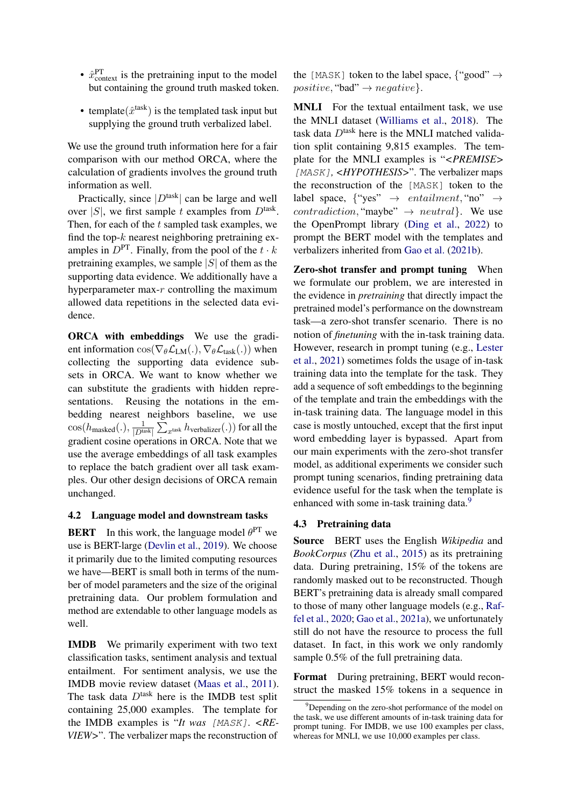- $\hat{x}_{\text{context}}^{\text{PT}}$  is the pretraining input to the model but containing the ground truth masked token.
- template $(\hat{x}^{\text{task}})$  is the templated task input but supplying the ground truth verbalized label.

We use the ground truth information here for a fair comparison with our method ORCA, where the calculation of gradients involves the ground truth information as well.

Practically, since  $|D<sup>task</sup>|$  can be large and well over |S|, we first sample t examples from  $D^{\text{task}}$ . Then, for each of the  $t$  sampled task examples, we find the top- $k$  nearest neighboring pretraining examples in  $D<sup>PT</sup>$ . Finally, from the pool of the  $t \cdot k$ pretraining examples, we sample  $|S|$  of them as the supporting data evidence. We additionally have a hyperparameter max- $r$  controlling the maximum allowed data repetitions in the selected data evidence.

ORCA with embeddings We use the gradient information  $\cos(\nabla_{\theta} \mathcal{L}_{LM}(.) , \nabla_{\theta} \mathcal{L}_{task}(.) )$  when collecting the supporting data evidence subsets in ORCA. We want to know whether we can substitute the gradients with hidden representations. Reusing the notations in the embedding nearest neighbors baseline, we use  $\cos(h_\text{masked}(.), \frac{1}{|D^\text{task}|}\sum_{x^\text{task}}h_\text{verbalizer}(.))$  for all the gradient cosine operations in ORCA. Note that we use the average embeddings of all task examples to replace the batch gradient over all task examples. Our other design decisions of ORCA remain unchanged.

## 4.2 Language model and downstream tasks

**BERT** In this work, the language model  $\theta^{PT}$  we use is BERT-large [\(Devlin et al.,](#page-9-0) [2019\)](#page-9-0). We choose it primarily due to the limited computing resources we have—BERT is small both in terms of the number of model parameters and the size of the original pretraining data. Our problem formulation and method are extendable to other language models as well.

IMDB We primarily experiment with two text classification tasks, sentiment analysis and textual entailment. For sentiment analysis, we use the IMDB movie review dataset [\(Maas et al.,](#page-10-20) [2011\)](#page-10-20). The task data  $D$ <sup>task</sup> here is the IMDB test split containing 25,000 examples. The template for the IMDB examples is "*It was* [MASK]*. <RE-VIEW>*". The verbalizer maps the reconstruction of

the [MASK] token to the label space,  $\{``good'' \rightarrow$  $positive$ , "bad"  $\rightarrow negative$ }.

MNLI For the textual entailment task, we use the MNLI dataset [\(Williams et al.,](#page-11-4) [2018\)](#page-11-4). The task data  $D<sup>task</sup>$  here is the MNLI matched validation split containing 9,815 examples. The template for the MNLI examples is "*<PREMISE>* [MASK], <*HYPOTHESIS*>". The verbalizer maps the reconstruction of the [MASK] token to the label space,  $\{``yes'' \rightarrow entailment, "no" \rightarrow \}$ contradiction, "maybe"  $\rightarrow$  neutral}. We use the OpenPrompt library [\(Ding et al.,](#page-9-6) [2022\)](#page-9-6) to prompt the BERT model with the templates and verbalizers inherited from [Gao et al.](#page-9-7) [\(2021b\)](#page-9-7).

Zero-shot transfer and prompt tuning When we formulate our problem, we are interested in the evidence in *pretraining* that directly impact the pretrained model's performance on the downstream task—a zero-shot transfer scenario. There is no notion of *finetuning* with the in-task training data. However, research in prompt tuning (e.g., [Lester](#page-10-21) [et al.,](#page-10-21) [2021\)](#page-10-21) sometimes folds the usage of in-task training data into the template for the task. They add a sequence of soft embeddings to the beginning of the template and train the embeddings with the in-task training data. The language model in this case is mostly untouched, except that the first input word embedding layer is bypassed. Apart from our main experiments with the zero-shot transfer model, as additional experiments we consider such prompt tuning scenarios, finding pretraining data evidence useful for the task when the template is enhanced with some in-task training data.<sup>[9](#page-4-0)</sup>

#### 4.3 Pretraining data

Source BERT uses the English *Wikipedia* and *BookCorpus* [\(Zhu et al.,](#page-11-2) [2015\)](#page-11-2) as its pretraining data. During pretraining, 15% of the tokens are randomly masked out to be reconstructed. Though BERT's pretraining data is already small compared to those of many other language models (e.g., [Raf](#page-10-0)[fel et al.,](#page-10-0) [2020;](#page-10-0) [Gao et al.,](#page-9-8) [2021a\)](#page-9-8), we unfortunately still do not have the resource to process the full dataset. In fact, in this work we only randomly sample 0.5% of the full pretraining data.

Format During pretraining, BERT would reconstruct the masked 15% tokens in a sequence in

<span id="page-4-0"></span><sup>&</sup>lt;sup>9</sup>Depending on the zero-shot performance of the model on the task, we use different amounts of in-task training data for prompt tuning. For IMDB, we use 100 examples per class, whereas for MNLI, we use 10,000 examples per class.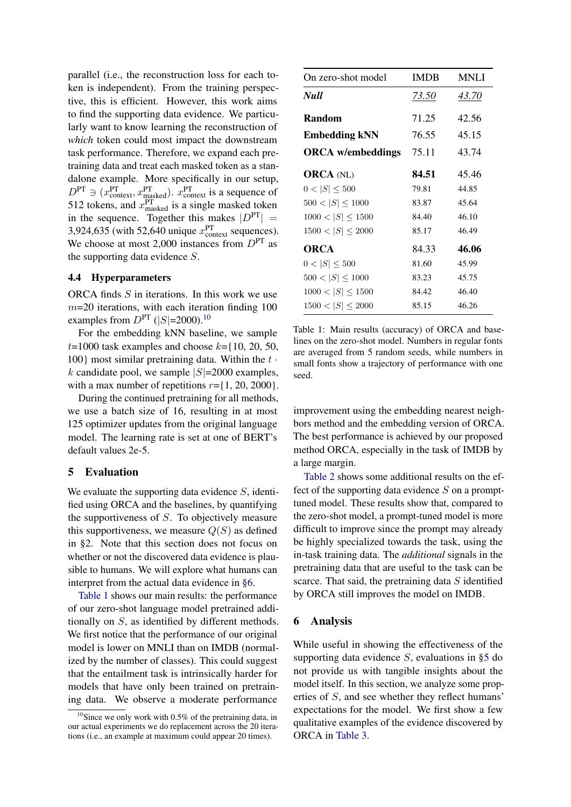parallel (i.e., the reconstruction loss for each token is independent). From the training perspective, this is efficient. However, this work aims to find the supporting data evidence. We particularly want to know learning the reconstruction of *which* token could most impact the downstream task performance. Therefore, we expand each pretraining data and treat each masked token as a standalone example. More specifically in our setup,  $D<sup>PT</sup> \ni (x<sub>context</sub><sup>PT</sup>, x<sub>masked</sub><sup>PT</sup>). x<sub>context</sub><sup>PT</sup> is a sequence of$ 512 tokens, and  $x_{\text{masked}}^{\text{PT}}$  is a single masked token in the sequence. Together this makes  $|D^{PT}| =$ 3,924,635 (with 52,640 unique  $x_{\text{context}}^{\text{PT}}$  sequences). We choose at most 2,000 instances from  $D<sup>PT</sup>$  as the supporting data evidence S.

## 4.4 Hyperparameters

ORCA finds  $S$  in iterations. In this work we use  $m=20$  iterations, with each iteration finding 100 examples from  $D^{PT}$  (|S|=2000).<sup>[10](#page-5-2)</sup>

For the embedding kNN baseline, we sample  $t=1000$  task examples and choose  $k=\{10, 20, 50,$ 100} most similar pretraining data. Within the  $t \cdot$ k candidate pool, we sample  $|S|=2000$  examples, with a max number of repetitions  $r = \{1, 20, 2000\}.$ 

During the continued pretraining for all methods, we use a batch size of 16, resulting in at most 125 optimizer updates from the original language model. The learning rate is set at one of BERT's default values 2e-5.

## <span id="page-5-0"></span>5 Evaluation

We evaluate the supporting data evidence S, identified using ORCA and the baselines, by quantifying the supportiveness of S. To objectively measure this supportiveness, we measure  $Q(S)$  as defined in [§2.](#page-1-1) Note that this section does not focus on whether or not the discovered data evidence is plausible to humans. We will explore what humans can interpret from the actual data evidence in [§6.](#page-5-1)

[Table 1](#page-5-3) shows our main results: the performance of our zero-shot language model pretrained additionally on S, as identified by different methods. We first notice that the performance of our original model is lower on MNLI than on IMDB (normalized by the number of classes). This could suggest that the entailment task is intrinsically harder for models that have only been trained on pretraining data. We observe a moderate performance

<span id="page-5-3"></span>

| On zero-shot model       | <b>IMDB</b> | <b>MNLI</b> |
|--------------------------|-------------|-------------|
| <b>Null</b>              | 73.50       | 43.70       |
| Random                   | 71.25       | 42.56       |
| <b>Embedding kNN</b>     | 76.55       | 45.15       |
| <b>ORCA</b> w/embeddings | 75.11       | 43.74       |
| <b>ORCA</b> (NL)         | 84.51       | 45.46       |
| $0 <  S  \leq 500$       | 79.81       | 44.85       |
| $500 <  S  \leq 1000$    | 83.87       | 45.64       |
| $1000 <  S  \leq 1500$   | 84.40       | 46.10       |
| $1500 <  S  \leq 2000$   | 85.17       | 46.49       |
| <b>ORCA</b>              | 84.33       | 46.06       |
| $0 <  S  \leq 500$       | 81.60       | 45.99       |
| $500 <  S  \leq 1000$    | 83.23       | 45.75       |
| $1000 <  S  \leq 1500$   | 84.42       | 46.40       |
| 1500 <  S  < 2000        | 85.15       | 46.26       |

Table 1: Main results (accuracy) of ORCA and baselines on the zero-shot model. Numbers in regular fonts are averaged from 5 random seeds, while numbers in small fonts show a trajectory of performance with one seed.

improvement using the embedding nearest neighbors method and the embedding version of ORCA. The best performance is achieved by our proposed method ORCA, especially in the task of IMDB by a large margin.

[Table 2](#page-6-0) shows some additional results on the effect of the supporting data evidence  $S$  on a prompttuned model. These results show that, compared to the zero-shot model, a prompt-tuned model is more difficult to improve since the prompt may already be highly specialized towards the task, using the in-task training data. The *additional* signals in the pretraining data that are useful to the task can be scarce. That said, the pretraining data  $S$  identified by ORCA still improves the model on IMDB.

#### <span id="page-5-1"></span>6 Analysis

While useful in showing the effectiveness of the supporting data evidence  $S$ , evaluations in [§5](#page-5-0) do not provide us with tangible insights about the model itself. In this section, we analyze some properties of S, and see whether they reflect humans' expectations for the model. We first show a few qualitative examples of the evidence discovered by ORCA in [Table 3.](#page-7-0)

<span id="page-5-2"></span> $10$ Since we only work with 0.5% of the pretraining data, in our actual experiments we do replacement across the 20 iterations (i.e., an example at maximum could appear 20 times).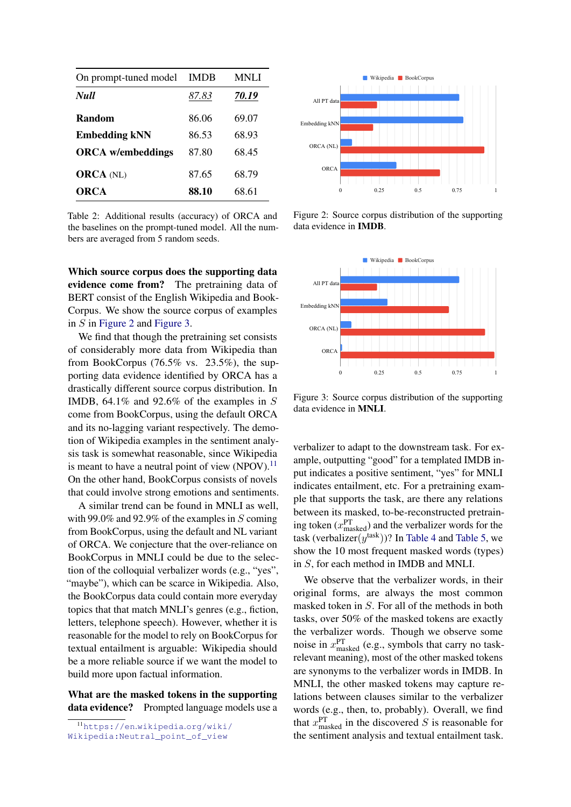<span id="page-6-0"></span>

| On prompt-tuned model    | <b>IMDB</b> | MNLI  |
|--------------------------|-------------|-------|
| <b>Null</b>              | 87.83       | 70.19 |
| Random                   | 86.06       | 69.07 |
| <b>Embedding kNN</b>     | 86.53       | 68.93 |
| <b>ORCA</b> w/embeddings | 87.80       | 68.45 |
| <b>ORCA</b> (NL)         | 87.65       | 68.79 |
| ORCA                     | 88.10       | 68.61 |

Table 2: Additional results (accuracy) of ORCA and the baselines on the prompt-tuned model. All the numbers are averaged from 5 random seeds.

Which source corpus does the supporting data evidence come from? The pretraining data of BERT consist of the English Wikipedia and Book-Corpus. We show the source corpus of examples in S in [Figure 2](#page-6-1) and [Figure 3.](#page-6-2)

We find that though the pretraining set consists of considerably more data from Wikipedia than from BookCorpus  $(76.5\% \text{ vs. } 23.5\%)$ , the supporting data evidence identified by ORCA has a drastically different source corpus distribution. In IMDB, 64.1% and 92.6% of the examples in S come from BookCorpus, using the default ORCA and its no-lagging variant respectively. The demotion of Wikipedia examples in the sentiment analysis task is somewhat reasonable, since Wikipedia is meant to have a neutral point of view  $(NPOV)$ .<sup>[11](#page-6-3)</sup> On the other hand, BookCorpus consists of novels that could involve strong emotions and sentiments.

A similar trend can be found in MNLI as well, with 99.0% and 92.9% of the examples in  $S$  coming from BookCorpus, using the default and NL variant of ORCA. We conjecture that the over-reliance on BookCorpus in MNLI could be due to the selection of the colloquial verbalizer words (e.g., "yes", "maybe"), which can be scarce in Wikipedia. Also, the BookCorpus data could contain more everyday topics that that match MNLI's genres (e.g., fiction, letters, telephone speech). However, whether it is reasonable for the model to rely on BookCorpus for textual entailment is arguable: Wikipedia should be a more reliable source if we want the model to build more upon factual information.

What are the masked tokens in the supporting data evidence? Prompted language models use a

<span id="page-6-1"></span>

Figure 2: Source corpus distribution of the supporting data evidence in IMDB.

<span id="page-6-2"></span>

Figure 3: Source corpus distribution of the supporting data evidence in MNLI.

verbalizer to adapt to the downstream task. For example, outputting "good" for a templated IMDB input indicates a positive sentiment, "yes" for MNLI indicates entailment, etc. For a pretraining example that supports the task, are there any relations between its masked, to-be-reconstructed pretraining token  $(x_{\text{masked}}^{\text{PT}})$  and the verbalizer words for the task (verbalizer $(y^{\text{task}})$ )? In [Table 4](#page-7-1) and [Table 5,](#page-7-2) we show the 10 most frequent masked words (types) in S, for each method in IMDB and MNLI.

We observe that the verbalizer words, in their original forms, are always the most common masked token in S. For all of the methods in both tasks, over 50% of the masked tokens are exactly the verbalizer words. Though we observe some noise in  $x_{\text{masked}}^{\text{PT}}$  (e.g., symbols that carry no taskrelevant meaning), most of the other masked tokens are synonyms to the verbalizer words in IMDB. In MNLI, the other masked tokens may capture relations between clauses similar to the verbalizer words (e.g., then, to, probably). Overall, we find that  $x_{\text{masked}}^{\text{PT}}$  in the discovered S is reasonable for the sentiment analysis and textual entailment task.

<span id="page-6-3"></span><sup>11</sup>[https://en](https://en.wikipedia.org/wiki/Wikipedia:Neutral_point_of_view).wikipedia.org/wiki/

[Wikipedia:Neutral\\_point\\_of\\_view](https://en.wikipedia.org/wiki/Wikipedia:Neutral_point_of_view)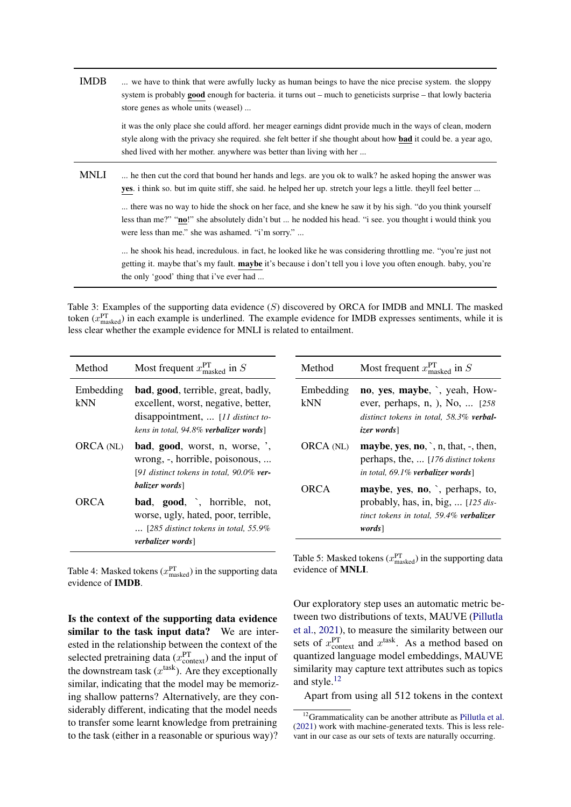<span id="page-7-0"></span>IMDB ... we have to think that were awfully lucky as human beings to have the nice precise system. the sloppy system is probably good enough for bacteria. it turns out – much to geneticists surprise – that lowly bacteria store genes as whole units (weasel) ...

> it was the only place she could afford. her meager earnings didnt provide much in the ways of clean, modern style along with the privacy she required. she felt better if she thought about how **bad** it could be. a year ago, shed lived with her mother. anywhere was better than living with her ...

MNLI ... he then cut the cord that bound her hands and legs. are you ok to walk? he asked hoping the answer was yes. i think so. but im quite stiff, she said. he helped her up. stretch your legs a little. theyll feel better ...

> ... there was no way to hide the shock on her face, and she knew he saw it by his sigh. "do you think yourself less than me?" "no!" she absolutely didn't but ... he nodded his head. "i see. you thought i would think you were less than me." she was ashamed. "i'm sorry." ...

> ... he shook his head, incredulous. in fact, he looked like he was considering throttling me. "you're just not getting it. maybe that's my fault. maybe it's because i don't tell you i love you often enough. baby, you're the only 'good' thing that i've ever had ...

Table 3: Examples of the supporting data evidence (S) discovered by ORCA for IMDB and MNLI. The masked token  $(x_{\text{masked}}^{\text{PT}})$  in each example is underlined. The example evidence for IMDB expresses sentiments, while it is less clear whether the example evidence for MNLI is related to entailment.

<span id="page-7-1"></span>

| Method           | Most frequent $x_{\text{masked}}^{\text{PT}}$ in S                                                                                                       |
|------------------|----------------------------------------------------------------------------------------------------------------------------------------------------------|
| Embedding<br>kNN | bad, good, terrible, great, badly,<br>excellent, worst, negative, better,<br>disappointment,  [11 distinct to-<br>kens in total, 94.8% verbalizer words] |
| ORCA (NL)        | bad, good, worst, n, worse, ',<br>wrong, -, horrible, poisonous,<br>[91 distinct tokens in total, 90.0% ver-<br>balizer words                            |
| ORCA             | <b>bad, good,</b> , horrible, not,<br>worse, ugly, hated, poor, terrible,<br>$\ldots$ [285 distinct tokens in total, 55.9%<br>verbalizer words]          |

Table 4: Masked tokens ( $x_{\text{masked}}^{\text{PT}}$ ) in the supporting data evidence of IMDB.

Is the context of the supporting data evidence similar to the task input data? We are interested in the relationship between the context of the selected pretraining data ( $x_{\text{context}}^{\text{PT}}$ ) and the input of the downstream task  $(x^{\text{task}})$ . Are they exceptionally similar, indicating that the model may be memorizing shallow patterns? Alternatively, are they considerably different, indicating that the model needs to transfer some learnt knowledge from pretraining to the task (either in a reasonable or spurious way)?

<span id="page-7-2"></span>

| Method           | Most frequent $x_{\text{masked}}^{\text{PI}}$ in S                                                                                     |
|------------------|----------------------------------------------------------------------------------------------------------------------------------------|
| Embedding<br>kNN | no, yes, maybe, `, yeah, How-<br>ever, perhaps, n, ), No,  [258]<br>distinct tokens in total, 58.3% verbal-<br><i>izer</i> words       |
| <b>ORCA</b> (NL) | <b>maybe, yes, no,</b> $\cdot$ , n, that, $\cdot$ , then,<br>perhaps, the,  [176 distinct tokens]<br>in total. 69.1% verbalizer words] |
| ORCA             | maybe, yes, no, `, perhaps, to,<br>probably, has, in, big, $[125 \, \text{dis}]$<br>tinct tokens in total, 59.4% verbalizer<br>words]  |

Table 5: Masked tokens ( $x_{\text{masked}}^{\text{PT}}$ ) in the supporting data evidence of MNLI.

Our exploratory step uses an automatic metric between two distributions of texts, MAUVE [\(Pillutla](#page-10-22) [et al.,](#page-10-22) [2021\)](#page-10-22), to measure the similarity between our sets of  $x_{\text{context}}^{\text{PT}}$  and  $x^{\text{task}}$ . As a method based on quantized language model embeddings, MAUVE similarity may capture text attributes such as topics and style.[12](#page-7-3)

Apart from using all 512 tokens in the context

<span id="page-7-3"></span><sup>&</sup>lt;sup>12</sup>Grammaticality can be another attribute as [Pillutla et al.](#page-10-22) [\(2021\)](#page-10-22) work with machine-generated texts. This is less relevant in our case as our sets of texts are naturally occurring.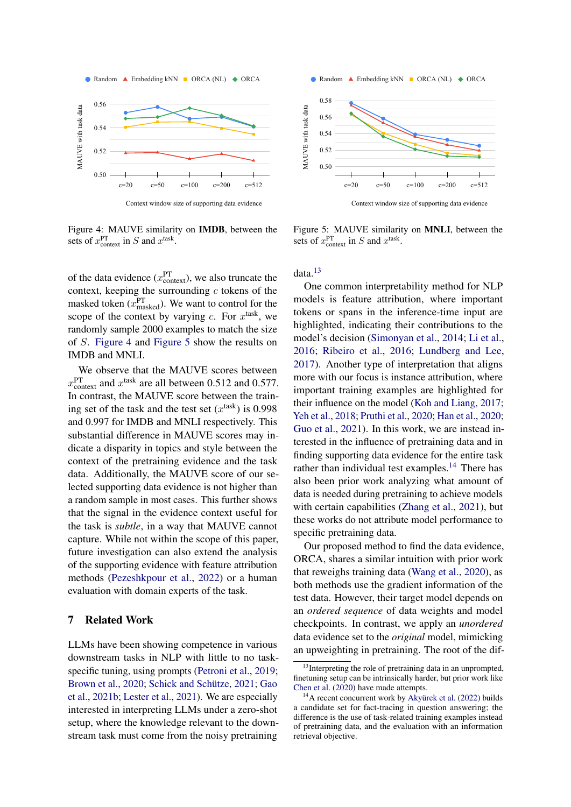<span id="page-8-0"></span>

<span id="page-8-1"></span>

Figure 4: MAUVE similarity on IMDB, between the sets of  $x_{\text{context}}^{\text{PT}}$  in S and  $x^{\text{task}}$ .

of the data evidence  $(x_{\text{context}}^{\text{PT}})$ , we also truncate the context, keeping the surrounding  $c$  tokens of the masked token  $(x_{\text{masked}}^{\text{PT}})$ . We want to control for the scope of the context by varying  $c$ . For  $x^{\text{task}}$ , we randomly sample 2000 examples to match the size of S. [Figure 4](#page-8-0) and [Figure 5](#page-8-1) show the results on IMDB and MNLI.

We observe that the MAUVE scores between  $x_{\text{context}}^{\text{PT}}$  and  $x^{\text{task}}$  are all between 0.512 and 0.577. In contrast, the MAUVE score between the training set of the task and the test set  $(x<sup>task</sup>)$  is 0.998 and 0.997 for IMDB and MNLI respectively. This substantial difference in MAUVE scores may indicate a disparity in topics and style between the context of the pretraining evidence and the task data. Additionally, the MAUVE score of our selected supporting data evidence is not higher than a random sample in most cases. This further shows that the signal in the evidence context useful for the task is *subtle*, in a way that MAUVE cannot capture. While not within the scope of this paper, future investigation can also extend the analysis of the supporting evidence with feature attribution methods [\(Pezeshkpour et al.,](#page-10-23) [2022\)](#page-10-23) or a human evaluation with domain experts of the task.

#### 7 Related Work

LLMs have been showing competence in various downstream tasks in NLP with little to no task-specific tuning, using prompts [\(Petroni et al.,](#page-10-1) [2019;](#page-10-1) [Brown et al.,](#page-9-2) [2020;](#page-9-2) [Schick and Schütze,](#page-10-10) [2021;](#page-10-10) [Gao](#page-9-7) [et al.,](#page-9-7) [2021b;](#page-9-7) [Lester et al.,](#page-10-21) [2021\)](#page-10-21). We are especially interested in interpreting LLMs under a zero-shot setup, where the knowledge relevant to the downstream task must come from the noisy pretraining

Figure 5: MAUVE similarity on MNLI, between the sets of  $x_{\text{context}}^{\text{PT}}$  in S and  $x^{\text{task}}$ .

data.[13](#page-8-2)

One common interpretability method for NLP models is feature attribution, where important tokens or spans in the inference-time input are highlighted, indicating their contributions to the model's decision [\(Simonyan et al.,](#page-11-5) [2014;](#page-11-5) [Li et al.,](#page-10-24) [2016;](#page-10-24) [Ribeiro et al.,](#page-10-5) [2016;](#page-10-5) [Lundberg and Lee,](#page-10-6) [2017\)](#page-10-6). Another type of interpretation that aligns more with our focus is instance attribution, where important training examples are highlighted for their influence on the model [\(Koh and Liang,](#page-10-7) [2017;](#page-10-7) [Yeh et al.,](#page-11-1) [2018;](#page-11-1) [Pruthi et al.,](#page-10-8) [2020;](#page-10-8) [Han et al.,](#page-10-9) [2020;](#page-10-9) [Guo et al.,](#page-10-25) [2021\)](#page-10-25). In this work, we are instead interested in the influence of pretraining data and in finding supporting data evidence for the entire task rather than individual test examples.<sup>[14](#page-8-3)</sup> There has also been prior work analyzing what amount of data is needed during pretraining to achieve models with certain capabilities [\(Zhang et al.,](#page-11-6) [2021\)](#page-11-6), but these works do not attribute model performance to specific pretraining data.

Our proposed method to find the data evidence, ORCA, shares a similar intuition with prior work that reweighs training data [\(Wang et al.,](#page-11-7) [2020\)](#page-11-7), as both methods use the gradient information of the test data. However, their target model depends on an *ordered sequence* of data weights and model checkpoints. In contrast, we apply an *unordered* data evidence set to the *original* model, mimicking an upweighting in pretraining. The root of the dif-

<span id="page-8-2"></span><sup>&</sup>lt;sup>13</sup>Interpreting the role of pretraining data in an unprompted, finetuning setup can be intrinsically harder, but prior work like [Chen et al.](#page-9-9) [\(2020\)](#page-9-9) have made attempts.

<span id="page-8-3"></span><sup>&</sup>lt;sup>14</sup>A recent concurrent work by [Akyürek et al.](#page-9-10) [\(2022\)](#page-9-10) builds a candidate set for fact-tracing in question answering; the difference is the use of task-related training examples instead of pretraining data, and the evaluation with an information retrieval objective.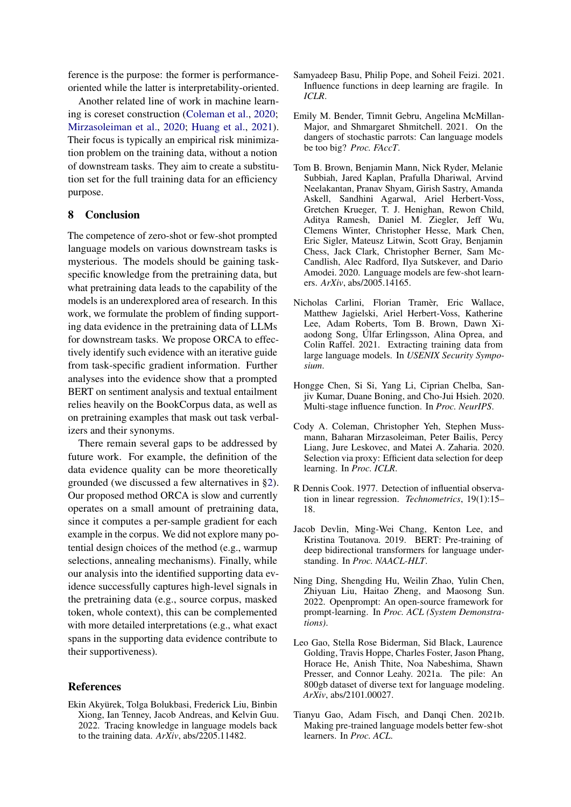ference is the purpose: the former is performanceoriented while the latter is interpretability-oriented.

Another related line of work in machine learning is coreset construction [\(Coleman et al.,](#page-9-11) [2020;](#page-9-11) [Mirzasoleiman et al.,](#page-10-26) [2020;](#page-10-26) [Huang et al.,](#page-10-27) [2021\)](#page-10-27). Their focus is typically an empirical risk minimization problem on the training data, without a notion of downstream tasks. They aim to create a substitution set for the full training data for an efficiency purpose.

## 8 Conclusion

The competence of zero-shot or few-shot prompted language models on various downstream tasks is mysterious. The models should be gaining taskspecific knowledge from the pretraining data, but what pretraining data leads to the capability of the models is an underexplored area of research. In this work, we formulate the problem of finding supporting data evidence in the pretraining data of LLMs for downstream tasks. We propose ORCA to effectively identify such evidence with an iterative guide from task-specific gradient information. Further analyses into the evidence show that a prompted BERT on sentiment analysis and textual entailment relies heavily on the BookCorpus data, as well as on pretraining examples that mask out task verbalizers and their synonyms.

There remain several gaps to be addressed by future work. For example, the definition of the data evidence quality can be more theoretically grounded (we discussed a few alternatives in [§2\)](#page-1-1). Our proposed method ORCA is slow and currently operates on a small amount of pretraining data, since it computes a per-sample gradient for each example in the corpus. We did not explore many potential design choices of the method (e.g., warmup selections, annealing mechanisms). Finally, while our analysis into the identified supporting data evidence successfully captures high-level signals in the pretraining data (e.g., source corpus, masked token, whole context), this can be complemented with more detailed interpretations (e.g., what exact spans in the supporting data evidence contribute to their supportiveness).

#### References

<span id="page-9-10"></span>Ekin Akyürek, Tolga Bolukbasi, Frederick Liu, Binbin Xiong, Ian Tenney, Jacob Andreas, and Kelvin Guu. 2022. Tracing knowledge in language models back to the training data. *ArXiv*, abs/2205.11482.

- <span id="page-9-5"></span>Samyadeep Basu, Philip Pope, and Soheil Feizi. 2021. Influence functions in deep learning are fragile. In *ICLR*.
- <span id="page-9-1"></span>Emily M. Bender, Timnit Gebru, Angelina McMillan-Major, and Shmargaret Shmitchell. 2021. On the dangers of stochastic parrots: Can language models be too big? *Proc. FAccT*.
- <span id="page-9-2"></span>Tom B. Brown, Benjamin Mann, Nick Ryder, Melanie Subbiah, Jared Kaplan, Prafulla Dhariwal, Arvind Neelakantan, Pranav Shyam, Girish Sastry, Amanda Askell, Sandhini Agarwal, Ariel Herbert-Voss, Gretchen Krueger, T. J. Henighan, Rewon Child, Aditya Ramesh, Daniel M. Ziegler, Jeff Wu, Clemens Winter, Christopher Hesse, Mark Chen, Eric Sigler, Mateusz Litwin, Scott Gray, Benjamin Chess, Jack Clark, Christopher Berner, Sam Mc-Candlish, Alec Radford, Ilya Sutskever, and Dario Amodei. 2020. Language models are few-shot learners. *ArXiv*, abs/2005.14165.
- <span id="page-9-3"></span>Nicholas Carlini, Florian Tramèr, Eric Wallace, Matthew Jagielski, Ariel Herbert-Voss, Katherine Lee, Adam Roberts, Tom B. Brown, Dawn Xiaodong Song, Úlfar Erlingsson, Alina Oprea, and Colin Raffel. 2021. Extracting training data from large language models. In *USENIX Security Symposium*.
- <span id="page-9-9"></span>Hongge Chen, Si Si, Yang Li, Ciprian Chelba, Sanjiv Kumar, Duane Boning, and Cho-Jui Hsieh. 2020. Multi-stage influence function. In *Proc. NeurIPS*.
- <span id="page-9-11"></span>Cody A. Coleman, Christopher Yeh, Stephen Mussmann, Baharan Mirzasoleiman, Peter Bailis, Percy Liang, Jure Leskovec, and Matei A. Zaharia. 2020. Selection via proxy: Efficient data selection for deep learning. In *Proc. ICLR*.
- <span id="page-9-4"></span>R Dennis Cook. 1977. Detection of influential observation in linear regression. *Technometrics*, 19(1):15– 18.
- <span id="page-9-0"></span>Jacob Devlin, Ming-Wei Chang, Kenton Lee, and Kristina Toutanova. 2019. BERT: Pre-training of deep bidirectional transformers for language understanding. In *Proc. NAACL-HLT*.
- <span id="page-9-6"></span>Ning Ding, Shengding Hu, Weilin Zhao, Yulin Chen, Zhiyuan Liu, Haitao Zheng, and Maosong Sun. 2022. Openprompt: An open-source framework for prompt-learning. In *Proc. ACL (System Demonstrations)*.
- <span id="page-9-8"></span>Leo Gao, Stella Rose Biderman, Sid Black, Laurence Golding, Travis Hoppe, Charles Foster, Jason Phang, Horace He, Anish Thite, Noa Nabeshima, Shawn Presser, and Connor Leahy. 2021a. The pile: An 800gb dataset of diverse text for language modeling. *ArXiv*, abs/2101.00027.
- <span id="page-9-7"></span>Tianyu Gao, Adam Fisch, and Danqi Chen. 2021b. Making pre-trained language models better few-shot learners. In *Proc. ACL*.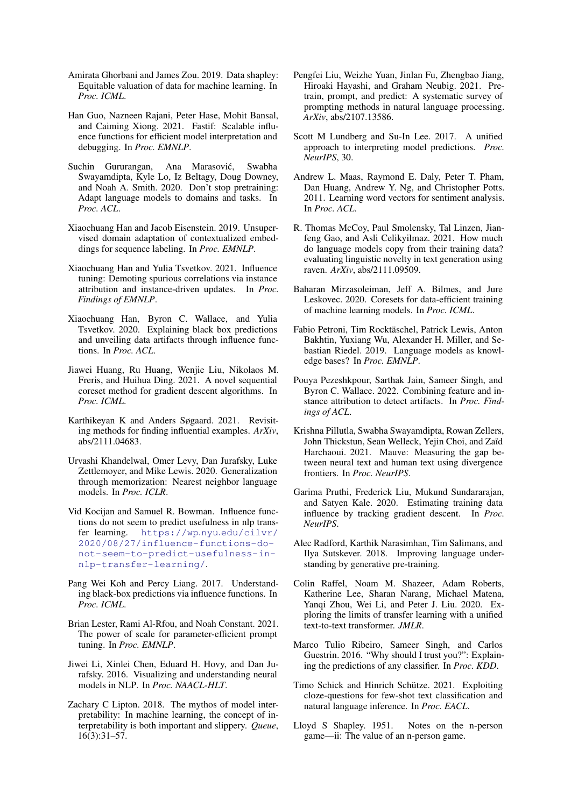- <span id="page-10-18"></span>Amirata Ghorbani and James Zou. 2019. Data shapley: Equitable valuation of data for machine learning. In *Proc. ICML*.
- <span id="page-10-25"></span>Han Guo, Nazneen Rajani, Peter Hase, Mohit Bansal, and Caiming Xiong. 2021. Fastif: Scalable influence functions for efficient model interpretation and debugging. In *Proc. EMNLP*.
- <span id="page-10-16"></span>Suchin Gururangan, Ana Marasović, Swabha Swayamdipta, Kyle Lo, Iz Beltagy, Doug Downey, and Noah A. Smith. 2020. Don't stop pretraining: Adapt language models to domains and tasks. In *Proc. ACL*.
- <span id="page-10-15"></span>Xiaochuang Han and Jacob Eisenstein. 2019. Unsupervised domain adaptation of contextualized embeddings for sequence labeling. In *Proc. EMNLP*.
- <span id="page-10-4"></span>Xiaochuang Han and Yulia Tsvetkov. 2021. Influence tuning: Demoting spurious correlations via instance attribution and instance-driven updates. In *Proc. Findings of EMNLP*.
- <span id="page-10-9"></span>Xiaochuang Han, Byron C. Wallace, and Yulia Tsvetkov. 2020. Explaining black box predictions and unveiling data artifacts through influence functions. In *Proc. ACL*.
- <span id="page-10-27"></span>Jiawei Huang, Ru Huang, Wenjie Liu, Nikolaos M. Freris, and Huihua Ding. 2021. A novel sequential coreset method for gradient descent algorithms. In *Proc. ICML*.
- <span id="page-10-14"></span>Karthikeyan K and Anders Søgaard. 2021. Revisiting methods for finding influential examples. *ArXiv*, abs/2111.04683.
- <span id="page-10-19"></span>Urvashi Khandelwal, Omer Levy, Dan Jurafsky, Luke Zettlemoyer, and Mike Lewis. 2020. Generalization through memorization: Nearest neighbor language models. In *Proc. ICLR*.
- <span id="page-10-12"></span>Vid Kocijan and Samuel R. Bowman. Influence functions do not seem to predict usefulness in nlp transfer learning. [https://wp](https://wp.nyu.edu/cilvr/2020/08/27/influence-functions-do-not-seem-to-predict-usefulness-in-nlp-transfer-learning/).nyu.edu/cilvr/ [2020/08/27/influence-functions-do](https://wp.nyu.edu/cilvr/2020/08/27/influence-functions-do-not-seem-to-predict-usefulness-in-nlp-transfer-learning/)[not-seem-to-predict-usefulness-in](https://wp.nyu.edu/cilvr/2020/08/27/influence-functions-do-not-seem-to-predict-usefulness-in-nlp-transfer-learning/)[nlp-transfer-learning/](https://wp.nyu.edu/cilvr/2020/08/27/influence-functions-do-not-seem-to-predict-usefulness-in-nlp-transfer-learning/).
- <span id="page-10-7"></span>Pang Wei Koh and Percy Liang. 2017. Understanding black-box predictions via influence functions. In *Proc. ICML*.
- <span id="page-10-21"></span>Brian Lester, Rami Al-Rfou, and Noah Constant. 2021. The power of scale for parameter-efficient prompt tuning. In *Proc. EMNLP*.
- <span id="page-10-24"></span>Jiwei Li, Xinlei Chen, Eduard H. Hovy, and Dan Jurafsky. 2016. Visualizing and understanding neural models in NLP. In *Proc. NAACL-HLT*.
- <span id="page-10-3"></span>Zachary C Lipton. 2018. The mythos of model interpretability: In machine learning, the concept of interpretability is both important and slippery. *Queue*, 16(3):31–57.
- <span id="page-10-13"></span>Pengfei Liu, Weizhe Yuan, Jinlan Fu, Zhengbao Jiang, Hiroaki Hayashi, and Graham Neubig. 2021. Pretrain, prompt, and predict: A systematic survey of prompting methods in natural language processing. *ArXiv*, abs/2107.13586.
- <span id="page-10-6"></span>Scott M Lundberg and Su-In Lee. 2017. A unified approach to interpreting model predictions. *Proc. NeurIPS*, 30.
- <span id="page-10-20"></span>Andrew L. Maas, Raymond E. Daly, Peter T. Pham, Dan Huang, Andrew Y. Ng, and Christopher Potts. 2011. Learning word vectors for sentiment analysis. In *Proc. ACL*.
- <span id="page-10-2"></span>R. Thomas McCoy, Paul Smolensky, Tal Linzen, Jianfeng Gao, and Asli Celikyilmaz. 2021. How much do language models copy from their training data? evaluating linguistic novelty in text generation using raven. *ArXiv*, abs/2111.09509.
- <span id="page-10-26"></span>Baharan Mirzasoleiman, Jeff A. Bilmes, and Jure Leskovec. 2020. Coresets for data-efficient training of machine learning models. In *Proc. ICML*.
- <span id="page-10-1"></span>Fabio Petroni, Tim Rocktäschel, Patrick Lewis, Anton Bakhtin, Yuxiang Wu, Alexander H. Miller, and Sebastian Riedel. 2019. Language models as knowledge bases? In *Proc. EMNLP*.
- <span id="page-10-23"></span>Pouya Pezeshkpour, Sarthak Jain, Sameer Singh, and Byron C. Wallace. 2022. Combining feature and instance attribution to detect artifacts. In *Proc. Findings of ACL*.
- <span id="page-10-22"></span>Krishna Pillutla, Swabha Swayamdipta, Rowan Zellers, John Thickstun, Sean Welleck, Yejin Choi, and Zaïd Harchaoui. 2021. Mauve: Measuring the gap between neural text and human text using divergence frontiers. In *Proc. NeurIPS*.
- <span id="page-10-8"></span>Garima Pruthi, Frederick Liu, Mukund Sundararajan, and Satyen Kale. 2020. Estimating training data influence by tracking gradient descent. In *Proc. NeurIPS*.
- <span id="page-10-11"></span>Alec Radford, Karthik Narasimhan, Tim Salimans, and Ilya Sutskever. 2018. Improving language understanding by generative pre-training.
- <span id="page-10-0"></span>Colin Raffel, Noam M. Shazeer, Adam Roberts, Katherine Lee, Sharan Narang, Michael Matena, Yanqi Zhou, Wei Li, and Peter J. Liu. 2020. Exploring the limits of transfer learning with a unified text-to-text transformer. *JMLR*.
- <span id="page-10-5"></span>Marco Tulio Ribeiro, Sameer Singh, and Carlos Guestrin. 2016. "Why should I trust you?": Explaining the predictions of any classifier. In *Proc. KDD*.
- <span id="page-10-10"></span>Timo Schick and Hinrich Schütze. 2021. Exploiting cloze-questions for few-shot text classification and natural language inference. In *Proc. EACL*.
- <span id="page-10-17"></span>Lloyd S Shapley. 1951. Notes on the n-person game—ii: The value of an n-person game.